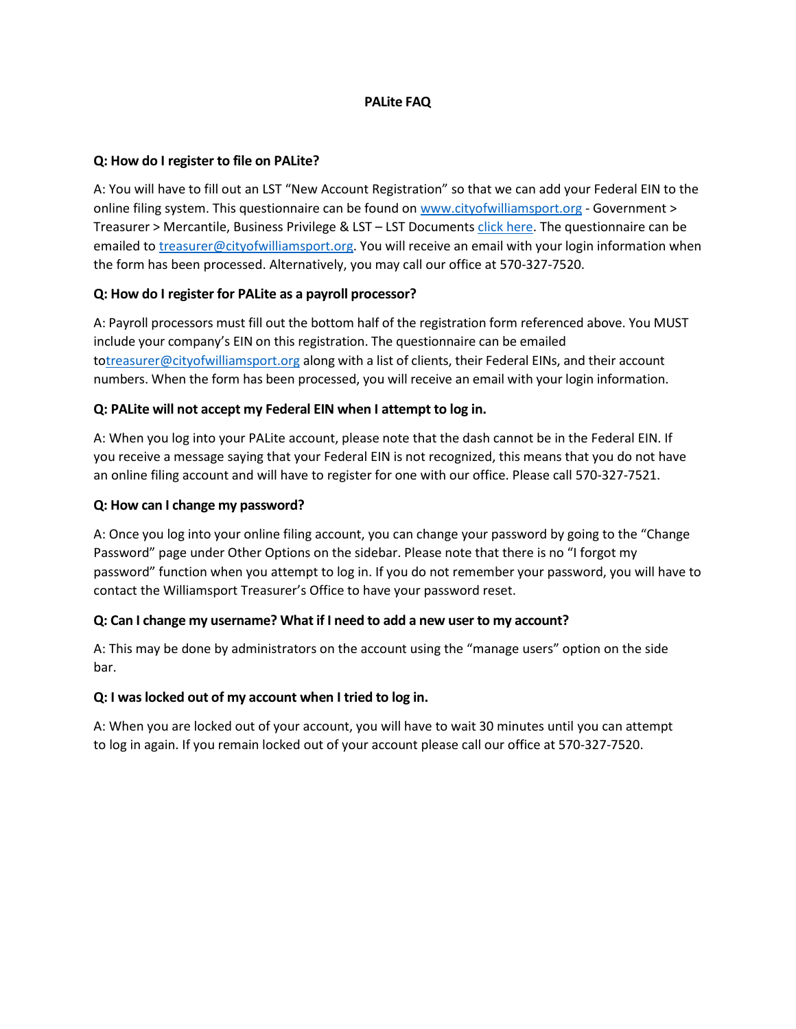## **PALite FAQ**

# **Q: How do I register to file on PALite?**

A: You will have to fill out an LST "New Account Registration" so that we can add your Federal EIN to the online filing system. This questionnaire can be found on [www.cityofwilliamsport.org](http://www.cityofwilliamsport.org/) - Government > Treasurer > Mercantile, Business Privilege & LST - LST Document[s click here.](https://www.cityofwilliamsport.org/wp-content/uploads/2020/09/LST-New-Bus-Registration.pdf) The questionnaire can be emailed to [treasurer@cityofwilliamsport.org.](mailto:treasurer@cityofwilliamsport.org) You will receive an email with your login information when the form has been processed. Alternatively, you may call our office at 570-327-7520.

## **Q: How do I register for PALite as a payroll processor?**

A: Payroll processors must fill out the bottom half of the registration form referenced above. You MUST include your company's EIN on this registration. The questionnaire can be emailed t[otreasurer@cityofwilliamsport.org](mailto:treasurer@cityofwilliamsport.org) along with a list of clients, their Federal EINs, and their account numbers. When the form has been processed, you will receive an email with your login information.

## **Q: PALite will not accept my Federal EIN when I attempt to log in.**

A: When you log into your PALite account, please note that the dash cannot be in the Federal EIN. If you receive a message saying that your Federal EIN is not recognized, this means that you do not have an online filing account and will have to register for one with our office. Please call 570-327-7521.

## **Q: How can I change my password?**

A: Once you log into your online filing account, you can change your password by going to the "Change Password" page under Other Options on the sidebar. Please note that there is no "I forgot my password" function when you attempt to log in. If you do not remember your password, you will have to contact the Williamsport Treasurer's Office to have your password reset.

# **Q: Can I change my username? What if I need to add a new user to my account?**

A: This may be done by administrators on the account using the "manage users" option on the side bar.

# **Q: I was locked out of my account when I tried to log in.**

A: When you are locked out of your account, you will have to wait 30 minutes until you can attempt to log in again. If you remain locked out of your account please call our office at 570-327-7520.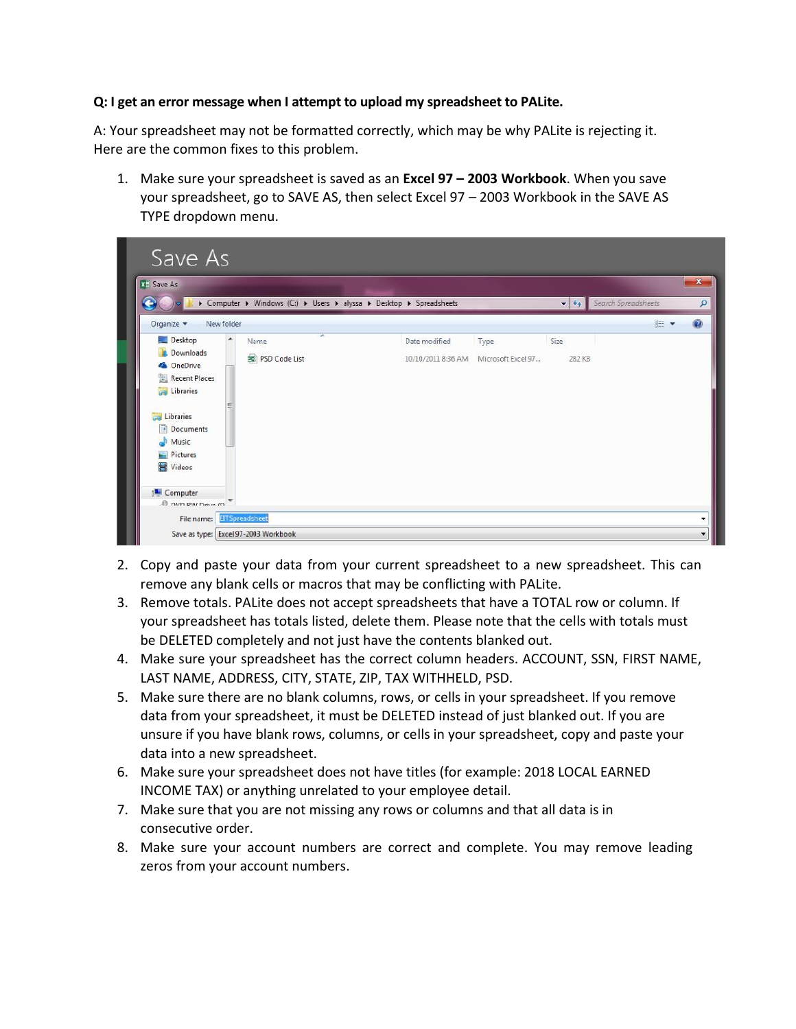# **Q: I get an error message when I attempt to upload my spreadsheet to PALite.**

A: Your spreadsheet may not be formatted correctly, which may be why PALite is rejecting it. Here are the common fixes to this problem.

1. Make sure your spreadsheet is saved as an **Excel 97 – 2003 Workbook**. When you save your spreadsheet, go to SAVE AS, then select Excel 97 – 2003 Workbook in the SAVE AS TYPE dropdown menu.



- 2. Copy and paste your data from your current spreadsheet to a new spreadsheet. This can remove any blank cells or macros that may be conflicting with PALite.
- 3. Remove totals. PALite does not accept spreadsheets that have a TOTAL row or column. If your spreadsheet has totals listed, delete them. Please note that the cells with totals must be DELETED completely and not just have the contents blanked out.
- 4. Make sure your spreadsheet has the correct column headers. ACCOUNT, SSN, FIRST NAME, LAST NAME, ADDRESS, CITY, STATE, ZIP, TAX WITHHELD, PSD.
- 5. Make sure there are no blank columns, rows, or cells in your spreadsheet. If you remove data from your spreadsheet, it must be DELETED instead of just blanked out. If you are unsure if you have blank rows, columns, or cells in your spreadsheet, copy and paste your data into a new spreadsheet.
- 6. Make sure your spreadsheet does not have titles (for example: 2018 LOCAL EARNED INCOME TAX) or anything unrelated to your employee detail.
- 7. Make sure that you are not missing any rows or columns and that all data is in consecutive order.
- 8. Make sure your account numbers are correct and complete. You may remove leading zeros from your account numbers.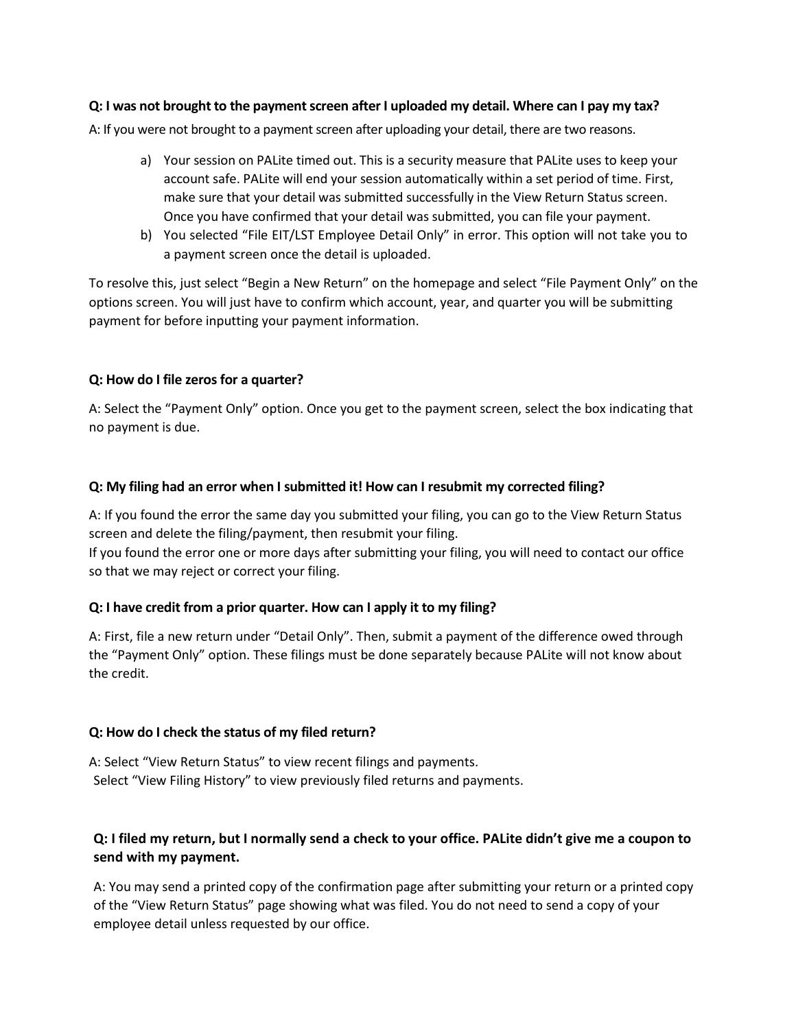## **Q: I was not brought to the payment screen after I uploaded my detail. Where can I pay my tax?**

A: If you were not brought to a payment screen after uploading your detail, there are two reasons.

- a) Your session on PALite timed out. This is a security measure that PALite uses to keep your account safe. PALite will end your session automatically within a set period of time. First, make sure that your detail was submitted successfully in the View Return Status screen. Once you have confirmed that your detail was submitted, you can file your payment.
- b) You selected "File EIT/LST Employee Detail Only" in error. This option will not take you to a payment screen once the detail is uploaded.

To resolve this, just select "Begin a New Return" on the homepage and select "File Payment Only" on the options screen. You will just have to confirm which account, year, and quarter you will be submitting payment for before inputting your payment information.

## **Q: How do I file zeros for a quarter?**

A: Select the "Payment Only" option. Once you get to the payment screen, select the box indicating that no payment is due.

## **Q: My filing had an error when I submitted it! How can I resubmit my corrected filing?**

A: If you found the error the same day you submitted your filing, you can go to the View Return Status screen and delete the filing/payment, then resubmit your filing.

If you found the error one or more days after submitting your filing, you will need to contact our office so that we may reject or correct your filing.

#### **Q: I have credit from a prior quarter. How can I apply it to my filing?**

A: First, file a new return under "Detail Only". Then, submit a payment of the difference owed through the "Payment Only" option. These filings must be done separately because PALite will not know about the credit.

#### **Q: How do I check the status of my filed return?**

A: Select "View Return Status" to view recent filings and payments. Select "View Filing History" to view previously filed returns and payments.

# **Q: I filed my return, but I normally send a check to your office. PALite didn't give me a coupon to send with my payment.**

A: You may send a printed copy of the confirmation page after submitting your return or a printed copy of the "View Return Status" page showing what was filed. You do not need to send a copy of your employee detail unless requested by our office.